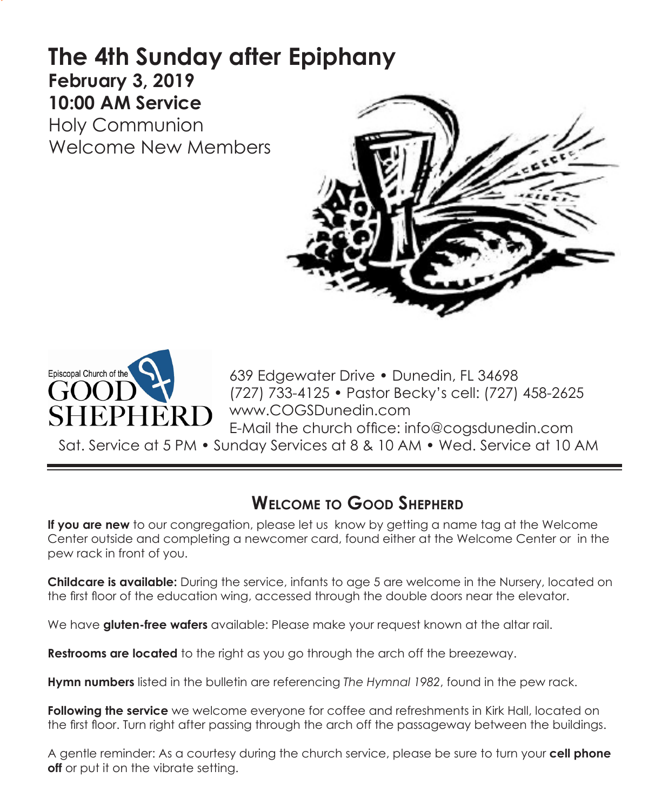# **The 4th Sunday after Epiphany February 3, 2019 10:00 AM Service**

Holy Communion Welcome New Members





639 Edgewater Drive • Dunedin, FL 34698 (727) 733-4125 • Pastor Becky's cell: (727) 458-2625 www.COGSDunedin.com E-Mail the church office: info@cogsdunedin.com

Sat. Service at 5 PM • Sunday Services at 8 & 10 AM • Wed. Service at 10 AM

## **Welcome to Good Shepherd**

**If you are new** to our congregation, please let us know by getting a name tag at the Welcome Center outside and completing a newcomer card, found either at the Welcome Center or in the pew rack in front of you.

**Childcare is available:** During the service, infants to age 5 are welcome in the Nursery, located on the first floor of the education wing, accessed through the double doors near the elevator.

We have **gluten-free wafers** available: Please make your request known at the altar rail.

**Restrooms are located** to the right as you go through the arch off the breezeway.

**Hymn numbers** listed in the bulletin are referencing *The Hymnal 1982*, found in the pew rack.

**Following the service** we welcome everyone for coffee and refreshments in Kirk Hall, located on the first floor. Turn right after passing through the arch off the passageway between the buildings.

A gentle reminder: As a courtesy during the church service, please be sure to turn your **cell phone off** or put it on the vibrate setting.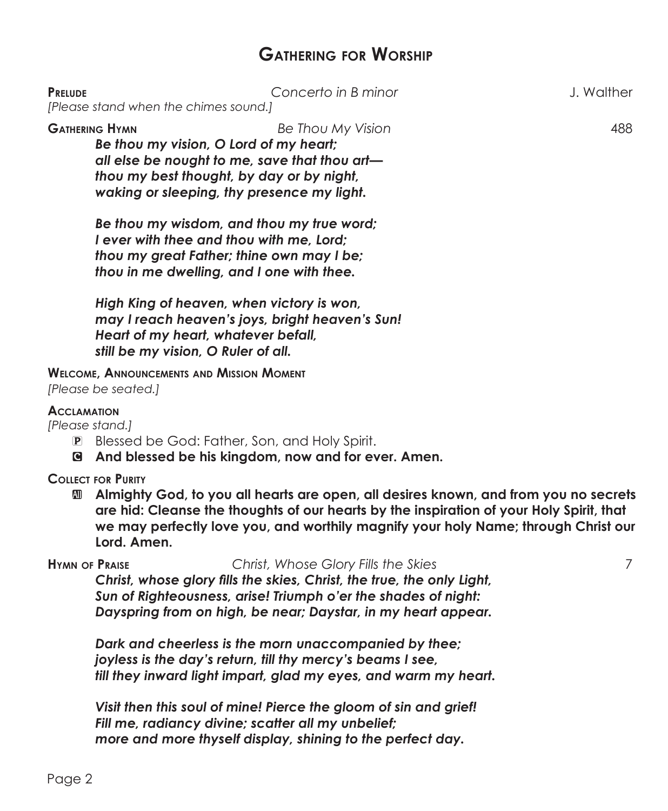## **Gathering for Worship**

| <b>PRELUDE</b>                                                                                                                                                                                                                                                                                                           | Concerto in B minor<br>[Please stand when the chimes sound.]                                                                                                                                                                     | J. Walther |
|--------------------------------------------------------------------------------------------------------------------------------------------------------------------------------------------------------------------------------------------------------------------------------------------------------------------------|----------------------------------------------------------------------------------------------------------------------------------------------------------------------------------------------------------------------------------|------------|
|                                                                                                                                                                                                                                                                                                                          | <b>GATHERING HYMN</b><br>Be Thou My Vision<br>Be thou my vision, O Lord of my heart;<br>all else be nought to me, save that thou art-<br>thou my best thought, by day or by night,<br>waking or sleeping, thy presence my light. | 488        |
|                                                                                                                                                                                                                                                                                                                          | Be thou my wisdom, and thou my true word;<br>I ever with thee and thou with me, Lord;<br>thou my great Father; thine own may I be;<br>thou in me dwelling, and I one with thee.                                                  |            |
|                                                                                                                                                                                                                                                                                                                          | High King of heaven, when victory is won,<br>may I reach heaven's joys, bright heaven's Sun!<br>Heart of my heart, whatever befall,<br>still be my vision, O Ruler of all.                                                       |            |
| <b>WELCOME, ANNOUNCEMENTS AND MISSION MOMENT</b><br>[Please be seated.]                                                                                                                                                                                                                                                  |                                                                                                                                                                                                                                  |            |
| <b>ACCLAMATION</b><br>[Please stand.]<br>Blessed be God: Father, Son, and Holy Spirit.<br>$\left  \mathbf{P} \right $<br>And blessed be his kingdom, now and for ever. Amen.<br>q                                                                                                                                        |                                                                                                                                                                                                                                  |            |
| <b>COLLECT FOR PURITY</b><br>Almighty God, to you all hearts are open, all desires known, and from you no secrets<br>AD<br>are hid: Cleanse the thoughts of our hearts by the inspiration of your Holy Spirit, that<br>we may perfectly love you, and worthily magnify your holy Name; through Christ our<br>Lord. Amen. |                                                                                                                                                                                                                                  |            |
| <b>HYMN OF PRAISE</b>                                                                                                                                                                                                                                                                                                    | Christ, Whose Glory Fills the Skies<br>Christ, whose glory fills the skies, Christ, the true, the only Light,                                                                                                                    | 7          |

*Christ, whose glory fills the skies, Christ, the true, the only Light, Sun of Righteousness, arise! Triumph o'er the shades of night: Dayspring from on high, be near; Daystar, in my heart appear.*

*Dark and cheerless is the morn unaccompanied by thee; joyless is the day's return, till thy mercy's beams I see, till they inward light impart, glad my eyes, and warm my heart.*

*Visit then this soul of mine! Pierce the gloom of sin and grief! Fill me, radiancy divine; scatter all my unbelief; more and more thyself display, shining to the perfect day.*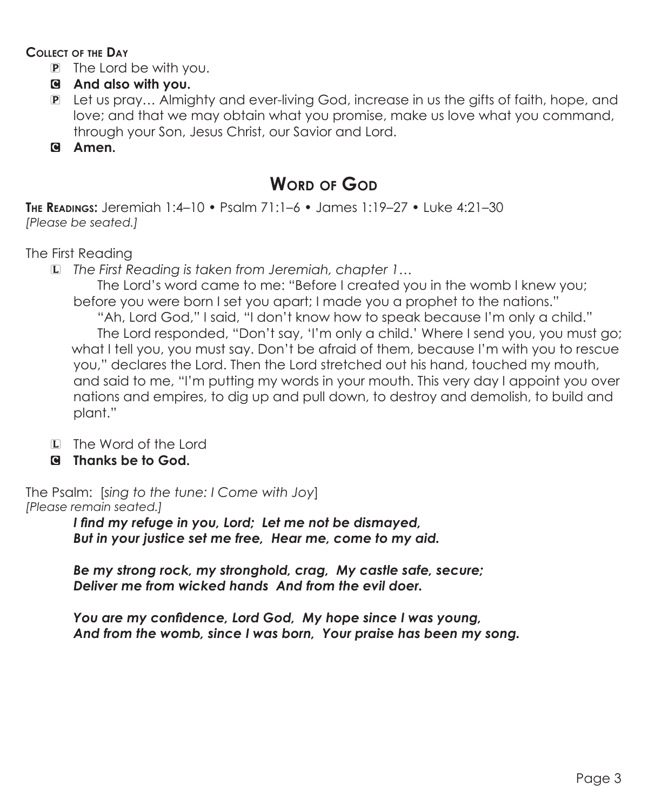### **Collect of the Day**

- P The Lord be with you.
- C **And also with you.**
- P Let us pray… Almighty and ever-living God, increase in us the gifts of faith, hope, and love; and that we may obtain what you promise, make us love what you command, through your Son, Jesus Christ, our Savior and Lord.
- C **Amen.**

## **Word of God**

**The Readings:** Jeremiah 1:4–10 • Psalm 71:1–6 • James 1:19–27 • Luke 4:21–30 *[Please be seated.]*

The First Reading

L *The First Reading is taken from Jeremiah, chapter 1…*

The Lord's word came to me: "Before I created you in the womb I knew you; before you were born I set you apart; I made you a prophet to the nations."

"Ah, Lord God," I said, "I don't know how to speak because I'm only a child." The Lord responded, "Don't say, 'I'm only a child.' Where I send you, you must go; what I tell you, you must say. Don't be afraid of them, because I'm with you to rescue you," declares the Lord. Then the Lord stretched out his hand, touched my mouth, and said to me, "I'm putting my words in your mouth. This very day I appoint you over nations and empires, to dig up and pull down, to destroy and demolish, to build and plant."

- L The Word of the Lord
- C **Thanks be to God.**

The Psalm: [*sing to the tune: I Come with Joy*] *[Please remain seated.]*

*I find my refuge in you, Lord; Let me not be dismayed, But in your justice set me free, Hear me, come to my aid.*

*Be my strong rock, my stronghold, crag, My castle safe, secure; Deliver me from wicked hands And from the evil doer.*

*You are my confidence, Lord God, My hope since I was young, And from the womb, since I was born, Your praise has been my song.*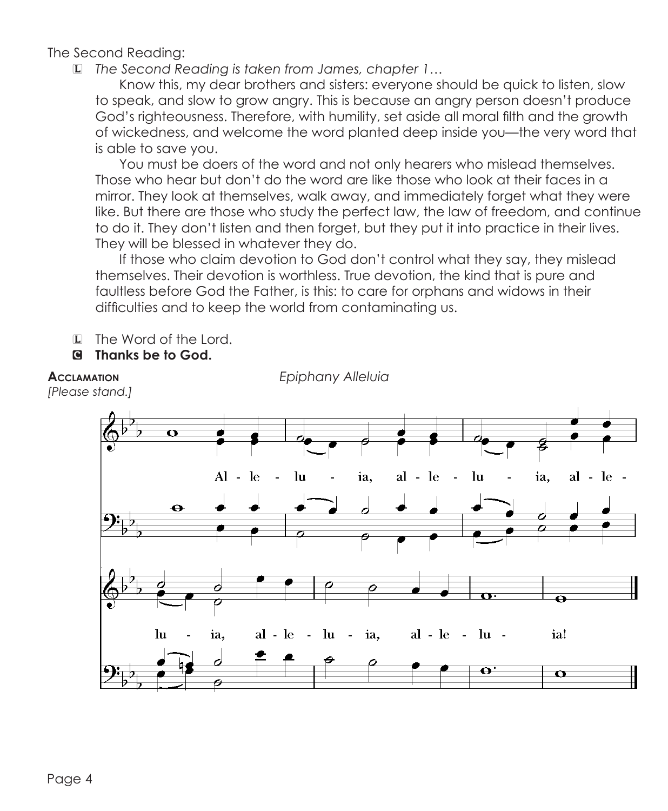The Second Reading:

L *The Second Reading is taken from James, chapter 1…*

 Know this, my dear brothers and sisters: everyone should be quick to listen, slow to speak, and slow to grow angry. This is because an angry person doesn't produce God's righteousness. Therefore, with humility, set aside all moral filth and the growth of wickedness, and welcome the word planted deep inside you—the very word that is able to save you.

 You must be doers of the word and not only hearers who mislead themselves. Those who hear but don't do the word are like those who look at their faces in a mirror. They look at themselves, walk away, and immediately forget what they were like. But there are those who study the perfect law, the law of freedom, and continue to do it. They don't listen and then forget, but they put it into practice in their lives. They will be blessed in whatever they do.

If those who claim devotion to God don't control what they say, they mislead themselves. Their devotion is worthless. True devotion, the kind that is pure and faultless before God the Father, is this: to care for orphans and widows in their difficulties and to keep the world from contaminating us.

- L The Word of the Lord.
- C **Thanks be to God.**

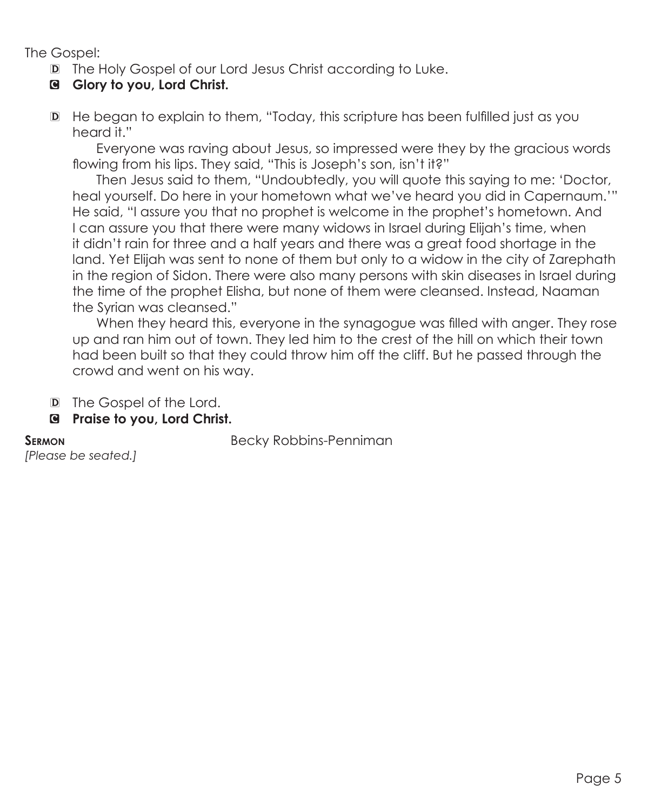The Gospel:

- D The Holy Gospel of our Lord Jesus Christ according to Luke.
- C **Glory to you, Lord Christ.**
- D He began to explain to them, "Today, this scripture has been fulfilled just as you heard it."

 Everyone was raving about Jesus, so impressed were they by the gracious words flowing from his lips. They said, "This is Joseph's son, isn't it?"

Then Jesus said to them, "Undoubtedly, you will quote this saying to me: 'Doctor, heal yourself. Do here in your hometown what we've heard you did in Capernaum.'" He said, "I assure you that no prophet is welcome in the prophet's hometown. And I can assure you that there were many widows in Israel during Elijah's time, when it didn't rain for three and a half years and there was a great food shortage in the land. Yet Elijah was sent to none of them but only to a widow in the city of Zarephath in the region of Sidon. There were also many persons with skin diseases in Israel during the time of the prophet Elisha, but none of them were cleansed. Instead, Naaman the Syrian was cleansed."

When they heard this, everyone in the synagogue was filled with anger. They rose up and ran him out of town. They led him to the crest of the hill on which their town had been built so that they could throw him off the cliff. But he passed through the crowd and went on his way.

- D The Gospel of the Lord.
- C **Praise to you, Lord Christ.**

**SERMON** Becky Robbins-Penniman

*[Please be seated.]*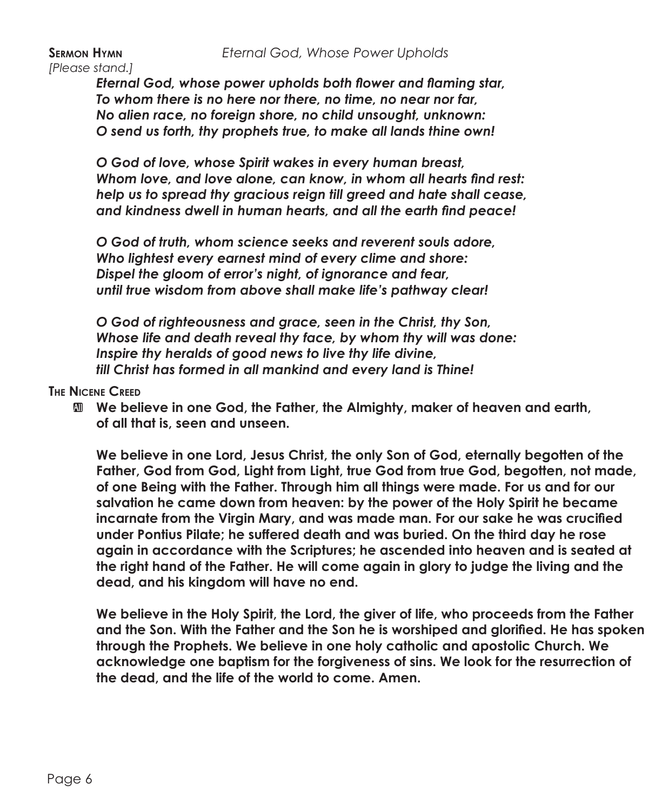*[Please stand.]*

*Eternal God, whose power upholds both flower and flaming star, To whom there is no here nor there, no time, no near nor far, No alien race, no foreign shore, no child unsought, unknown: O send us forth, thy prophets true, to make all lands thine own!*

*O God of love, whose Spirit wakes in every human breast, Whom love, and love alone, can know, in whom all hearts find rest: help us to spread thy gracious reign till greed and hate shall cease, and kindness dwell in human hearts, and all the earth find peace!*

*O God of truth, whom science seeks and reverent souls adore, Who lightest every earnest mind of every clime and shore: Dispel the gloom of error's night, of ignorance and fear, until true wisdom from above shall make life's pathway clear!*

*O God of righteousness and grace, seen in the Christ, thy Son, Whose life and death reveal thy face, by whom thy will was done: Inspire thy heralds of good news to live thy life divine, till Christ has formed in all mankind and every land is Thine!*

### **The Nicene Creed**

 $\mathbf{M}$  **We believe in one God, the Father, the Almighty, maker of heaven and earth, of all that is, seen and unseen.**

 **We believe in one Lord, Jesus Christ, the only Son of God, eternally begotten of the Father, God from God, Light from Light, true God from true God, begotten, not made, of one Being with the Father. Through him all things were made. For us and for our salvation he came down from heaven: by the power of the Holy Spirit he became incarnate from the Virgin Mary, and was made man. For our sake he was crucified under Pontius Pilate; he suffered death and was buried. On the third day he rose again in accordance with the Scriptures; he ascended into heaven and is seated at the right hand of the Father. He will come again in glory to judge the living and the dead, and his kingdom will have no end.**

 **We believe in the Holy Spirit, the Lord, the giver of life, who proceeds from the Father and the Son. With the Father and the Son he is worshiped and glorified. He has spoken through the Prophets. We believe in one holy catholic and apostolic Church. We acknowledge one baptism for the forgiveness of sins. We look for the resurrection of the dead, and the life of the world to come. Amen.**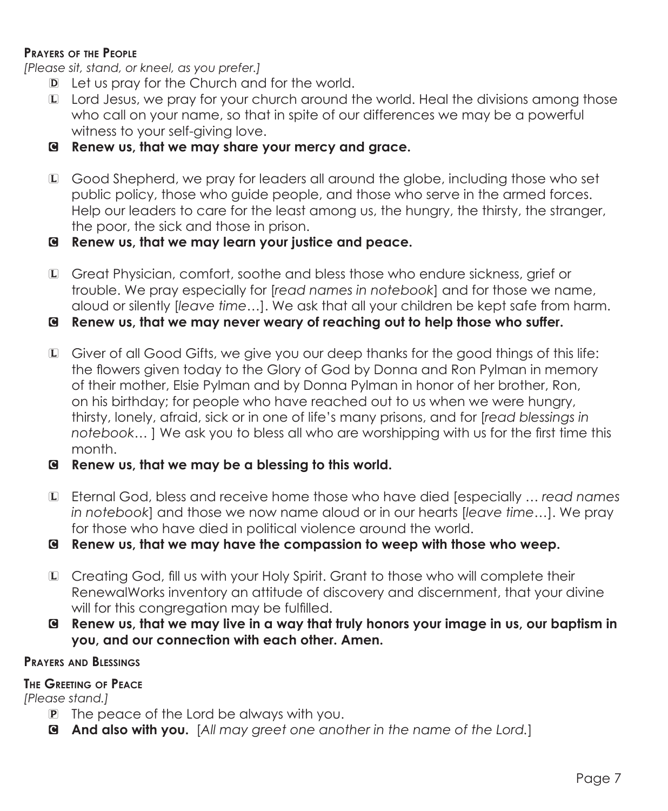### **Prayers of the People**

*[Please sit, stand, or kneel, as you prefer.]*

- D Let us pray for the Church and for the world.
- L Lord Jesus, we pray for your church around the world. Heal the divisions among those who call on your name, so that in spite of our differences we may be a powerful witness to your self-giving love.
- C **Renew us, that we may share your mercy and grace.**
- L Good Shepherd, we pray for leaders all around the globe, including those who set public policy, those who guide people, and those who serve in the armed forces. Help our leaders to care for the least among us, the hungry, the thirsty, the stranger, the poor, the sick and those in prison.
- C **Renew us, that we may learn your justice and peace.**
- L Great Physician, comfort, soothe and bless those who endure sickness, grief or trouble. We pray especially for [*read names in notebook*] and for those we name, aloud or silently [*leave time…*]. We ask that all your children be kept safe from harm.
- C **Renew us, that we may never weary of reaching out to help those who suffer.**
- L Giver of all Good Gifts, we give you our deep thanks for the good things of this life: the flowers given today to the Glory of God by Donna and Ron Pylman in memory of their mother, Elsie Pylman and by Donna Pylman in honor of her brother, Ron, on his birthday; for people who have reached out to us when we were hungry, thirsty, lonely, afraid, sick or in one of life's many prisons, and for [*read blessings in notebook…* ] We ask you to bless all who are worshipping with us for the first time this month.
- C **Renew us, that we may be a blessing to this world.**
- L Eternal God, bless and receive home those who have died [especially … *read names in notebook*] and those we now name aloud or in our hearts [*leave time…*]. We pray for those who have died in political violence around the world.

C **Renew us, that we may have the compassion to weep with those who weep.**

- L Creating God, fill us with your Holy Spirit. Grant to those who will complete their RenewalWorks inventory an attitude of discovery and discernment, that your divine will for this congregation may be fulfilled.
- C **Renew us, that we may live in a way that truly honors your image in us, our baptism in you, and our connection with each other. Amen.**

### **Prayers and Blessings**

### **The Greeting of Peace**

*[Please stand.]*

- P The peace of the Lord be always with you.
- C **And also with you.** [*All may greet one another in the name of the Lord.*]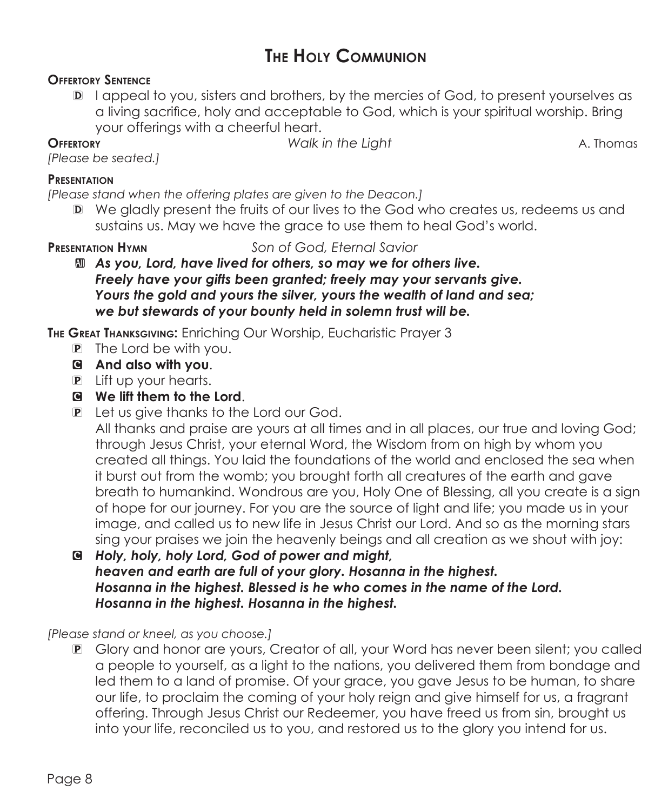## **The Holy Communion**

### **Offertory Sentence**

D I appeal to you, sisters and brothers, by the mercies of God, to present yourselves as a living sacrifice, holy and acceptable to God, which is your spiritual worship. Bring your offerings with a cheerful heart.

**OFFERTORY** *Walk in the Light* **A. Thomas** 

### *[Please be seated.]*  **Presentation**

*[Please stand when the offering plates are given to the Deacon.]*

D We gladly present the fruits of our lives to the God who creates us, redeems us and sustains us. May we have the grace to use them to heal God's world.

**Presentation Hymn** *Son of God, Eternal Savior*

a *As you, Lord, have lived for others, so may we for others live. Freely have your gifts been granted; freely may your servants give. Yours the gold and yours the silver, yours the wealth of land and sea; we but stewards of your bounty held in solemn trust will be.*

**The Great Thanksgiving:** Enriching Our Worship, Eucharistic Prayer 3

- P The Lord be with you.
- C **And also with you**.
- P Lift up your hearts.
- C **We lift them to the Lord**.
- P Let us give thanks to the Lord our God.

 All thanks and praise are yours at all times and in all places, our true and loving God; through Jesus Christ, your eternal Word, the Wisdom from on high by whom you created all things. You laid the foundations of the world and enclosed the sea when it burst out from the womb; you brought forth all creatures of the earth and gave breath to humankind. Wondrous are you, Holy One of Blessing, all you create is a sign of hope for our journey. For you are the source of light and life; you made us in your image, and called us to new life in Jesus Christ our Lord. And so as the morning stars sing your praises we join the heavenly beings and all creation as we shout with joy:

C *Holy, holy, holy Lord, God of power and might, heaven and earth are full of your glory. Hosanna in the highest. Hosanna in the highest. Blessed is he who comes in the name of the Lord. Hosanna in the highest. Hosanna in the highest.*

*[Please stand or kneel, as you choose.]*

P Glory and honor are yours, Creator of all, your Word has never been silent; you called a people to yourself, as a light to the nations, you delivered them from bondage and led them to a land of promise. Of your grace, you gave Jesus to be human, to share our life, to proclaim the coming of your holy reign and give himself for us, a fragrant offering. Through Jesus Christ our Redeemer, you have freed us from sin, brought us into your life, reconciled us to you, and restored us to the glory you intend for us.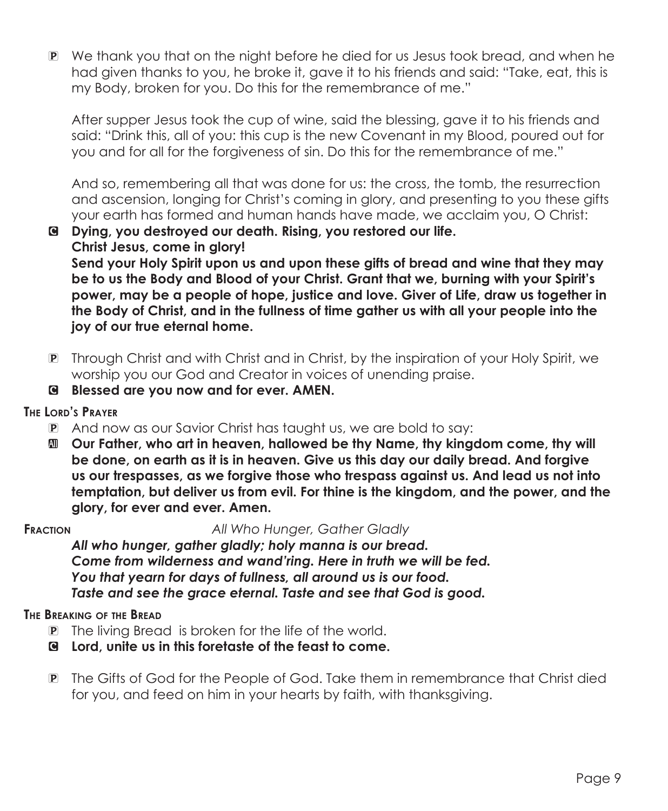P We thank you that on the night before he died for us Jesus took bread, and when he had given thanks to you, he broke it, gave it to his friends and said: "Take, eat, this is my Body, broken for you. Do this for the remembrance of me."

 After supper Jesus took the cup of wine, said the blessing, gave it to his friends and said: "Drink this, all of you: this cup is the new Covenant in my Blood, poured out for you and for all for the forgiveness of sin. Do this for the remembrance of me."

 And so, remembering all that was done for us: the cross, the tomb, the resurrection and ascension, longing for Christ's coming in glory, and presenting to you these gifts your earth has formed and human hands have made, we acclaim you, O Christ:

C **Dying, you destroyed our death. Rising, you restored our life. Christ Jesus, come in glory!**

 **Send your Holy Spirit upon us and upon these gifts of bread and wine that they may be to us the Body and Blood of your Christ. Grant that we, burning with your Spirit's power, may be a people of hope, justice and love. Giver of Life, draw us together in the Body of Christ, and in the fullness of time gather us with all your people into the joy of our true eternal home.**

- P Through Christ and with Christ and in Christ, by the inspiration of your Holy Spirit, we worship you our God and Creator in voices of unending praise.
- C **Blessed are you now and for ever. AMEN.**

### **The Lord's Prayer**

- P And now as our Savior Christ has taught us, we are bold to say:
- a **Our Father, who art in heaven, hallowed be thy Name, thy kingdom come, thy will be done, on earth as it is in heaven. Give us this day our daily bread. And forgive us our trespasses, as we forgive those who trespass against us. And lead us not into temptation, but deliver us from evil. For thine is the kingdom, and the power, and the glory, for ever and ever. Amen.**

**Fraction** *All Who Hunger, Gather Gladly*

*All who hunger, gather gladly; holy manna is our bread. Come from wilderness and wand'ring. Here in truth we will be fed. You that yearn for days of fullness, all around us is our food. Taste and see the grace eternal. Taste and see that God is good.*

### **The Breaking of the Bread**

- P The living Bread is broken for the life of the world.
- C **Lord, unite us in this foretaste of the feast to come.**
- P The Gifts of God for the People of God. Take them in remembrance that Christ died for you, and feed on him in your hearts by faith, with thanksgiving.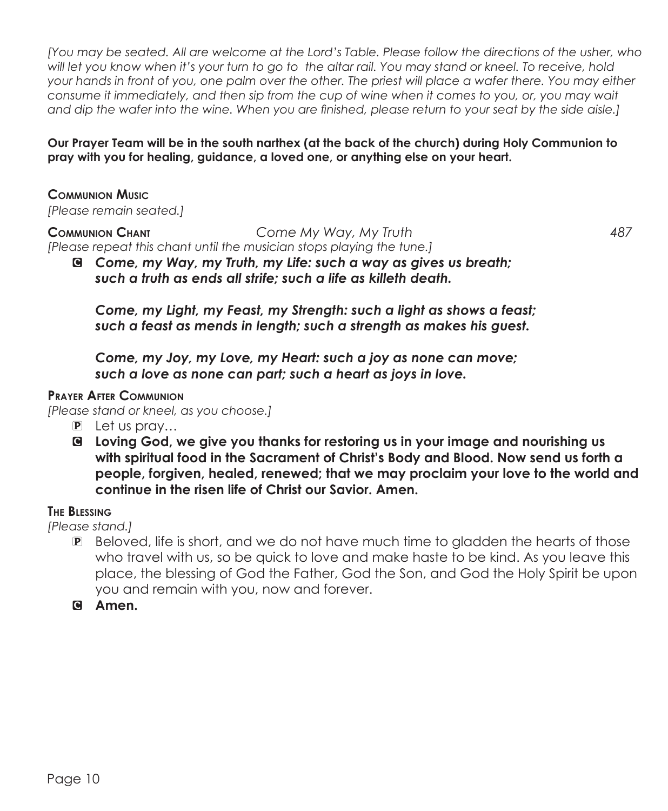*[You may be seated. All are welcome at the Lord's Table. Please follow the directions of the usher, who will let you know when it's your turn to go to the altar rail. You may stand or kneel. To receive, hold your hands in front of you, one palm over the other. The priest will place a wafer there. You may either consume it immediately, and then sip from the cup of wine when it comes to you, or, you may wait and dip the wafer into the wine. When you are finished, please return to your seat by the side aisle.]*

### **Our Prayer Team will be in the south narthex (at the back of the church) during Holy Communion to pray with you for healing, guidance, a loved one, or anything else on your heart.**

**Communion Music** *[Please remain seated.]*

**Communion Chant** *Come My Way, My Truth 487 [Please repeat this chant until the musician stops playing the tune.]*

C *Come, my Way, my Truth, my Life: such a way as gives us breath; such a truth as ends all strife; such a life as killeth death.*

*Come, my Light, my Feast, my Strength: such a light as shows a feast; such a feast as mends in length; such a strength as makes his guest.*

*Come, my Joy, my Love, my Heart: such a joy as none can move; such a love as none can part; such a heart as joys in love.*

### **Prayer After Communion**

*[Please stand or kneel, as you choose.]*

- P Let us pray…
- C **Loving God, we give you thanks for restoring us in your image and nourishing us with spiritual food in the Sacrament of Christ's Body and Blood. Now send us forth a people, forgiven, healed, renewed; that we may proclaim your love to the world and continue in the risen life of Christ our Savior. Amen.**

### **The Blessing**

*[Please stand.]*

- P Beloved, life is short, and we do not have much time to gladden the hearts of those who travel with us, so be quick to love and make haste to be kind. As you leave this place, the blessing of God the Father, God the Son, and God the Holy Spirit be upon you and remain with you, now and forever.
- C **Amen.**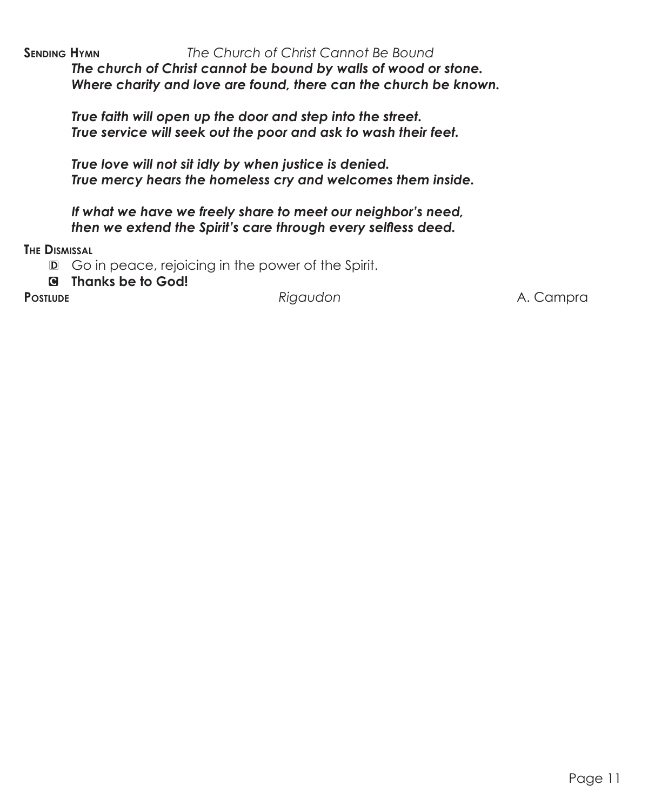**SENDING HYMN** *The Church of Christ Cannot Be Bound The church of Christ cannot be bound by walls of wood or stone.*

*Where charity and love are found, there can the church be known.*

*True faith will open up the door and step into the street. True service will seek out the poor and ask to wash their feet.*

*True love will not sit idly by when justice is denied. True mercy hears the homeless cry and welcomes them inside.*

*If what we have we freely share to meet our neighbor's need, then we extend the Spirit's care through every selfless deed.*

**The Dismissal**

D Go in peace, rejoicing in the power of the Spirit.

C **Thanks be to God!**

Postlude **Postlude Rigaudon Rigaudon A. Campra**